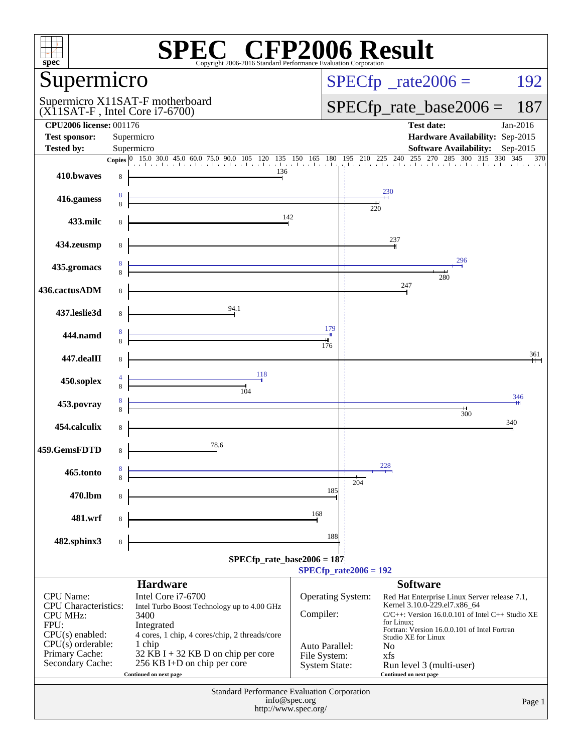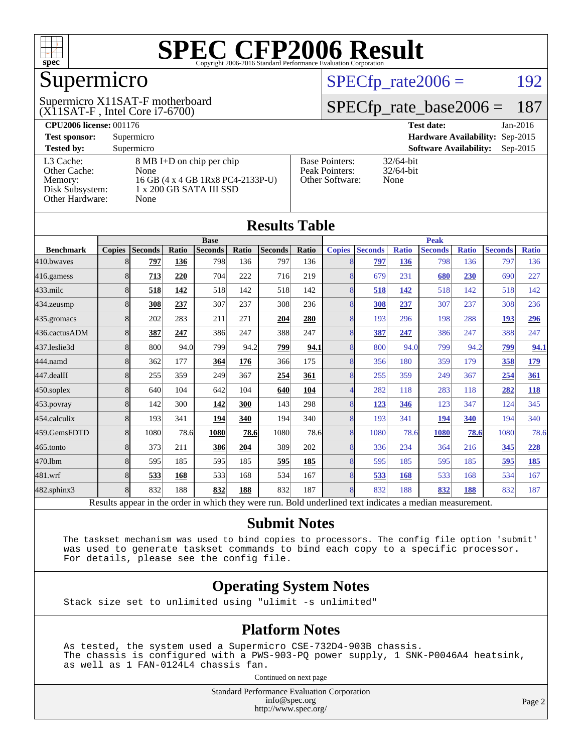

## Supermicro

(X11SAT-F , Intel Core i7-6700) Supermicro X11SAT-F motherboard  $SPECTp_rate2006 = 192$ 

#### [SPECfp\\_rate\\_base2006 =](http://www.spec.org/auto/cpu2006/Docs/result-fields.html#SPECfpratebase2006) 187

| <b>CPU2006 license: 001176</b> |                                   |                                 | <b>Test date:</b><br>Jan-2016               |
|--------------------------------|-----------------------------------|---------------------------------|---------------------------------------------|
| <b>Test sponsor:</b>           | Supermicro                        | Hardware Availability: Sep-2015 |                                             |
| <b>Tested by:</b>              | Supermicro                        |                                 | <b>Software Availability:</b><br>$Sep-2015$ |
| L3 Cache:                      | 8 MB I+D on chip per chip         | <b>Base Pointers:</b>           | $32/64$ -bit                                |
| Other Cache:                   | None                              | Peak Pointers:                  | $32/64$ -bit                                |
| Memory:                        | 16 GB (4 x 4 GB 1Rx8 PC4-2133P-U) | Other Software:                 | None                                        |
| Disk Subsystem:                | 1 x 200 GB SATA III SSD           |                                 |                                             |
| Other Hardware:                | None                              |                                 |                                             |

**[Results Table](http://www.spec.org/auto/cpu2006/Docs/result-fields.html#ResultsTable)**

| Results Table                                                                                            |                |                |       |                |             |                |       |               |                |              |                |              |                |              |
|----------------------------------------------------------------------------------------------------------|----------------|----------------|-------|----------------|-------------|----------------|-------|---------------|----------------|--------------|----------------|--------------|----------------|--------------|
|                                                                                                          | <b>Base</b>    |                |       |                | <b>Peak</b> |                |       |               |                |              |                |              |                |              |
| <b>Benchmark</b>                                                                                         | <b>Copies</b>  | <b>Seconds</b> | Ratio | <b>Seconds</b> | Ratio       | <b>Seconds</b> | Ratio | <b>Copies</b> | <b>Seconds</b> | <b>Ratio</b> | <b>Seconds</b> | <b>Ratio</b> | <b>Seconds</b> | <b>Ratio</b> |
| 410.bwayes                                                                                               | 8              | 797            | 136   | 798            | 136         | 797            | 136   | 8             | 797            | 136          | 798            | 136          | 797            | 136          |
| 416.gamess                                                                                               | 8              | 713            | 220   | 704            | 222         | 716            | 219   | 8             | 679            | 231          | 680            | 230          | 690            | 227          |
| $433$ .milc                                                                                              | 8              | 518            | 142   | 518            | 142         | 518            | 142   | 8             | 518            | 142          | 518            | 142          | 518            | 142          |
| 434.zeusmp                                                                                               | 8              | 308            | 237   | 307            | 237         | 308            | 236   | 8             | 308            | 237          | 307            | 237          | 308            | 236          |
| 435.gromacs                                                                                              | 8              | 202            | 283   | 211            | 271         | 204            | 280   | 8             | 193            | 296          | 198            | 288          | 193            | <u>296</u>   |
| 436.cactusADM                                                                                            | 8              | 387            | 247   | 386            | 247         | 388            | 247   | 8             | 387            | 247          | 386            | 247          | 388            | 247          |
| 437.leslie3d                                                                                             | 8 <sup>l</sup> | 800            | 94.0  | 799            | 94.2        | 799            | 94.1  | 8             | 800            | 94.0         | 799            | 94.2         | 799            | 94.1         |
| 444.namd                                                                                                 | 8              | 362            | 177   | 364            | 176         | 366            | 175   | 8             | 356            | 180          | 359            | 179          | 358            | 179          |
| 447.dealII                                                                                               | 8              | 255            | 359   | 249            | 367         | 254            | 361   | 8             | 255            | 359          | 249            | 367          | 254            | 361          |
| 450.soplex                                                                                               | 8              | 640            | 104   | 642            | 104         | 640            | 104   |               | 282            | 118          | 283            | 118          | 282            | <b>118</b>   |
| 453.povray                                                                                               | 8              | 142            | 300   | 142            | 300         | 143            | 298   | 8             | 123            | 346          | 123            | 347          | 124            | 345          |
| 454.calculix                                                                                             | 8              | 193            | 341   | 194            | 340         | 194            | 340   | 8             | 193            | 341          | 194            | 340          | 194            | 340          |
| 459.GemsFDTD                                                                                             | 8              | 1080           | 78.6  | 1080           | 78.6        | 1080           | 78.6  | 8             | 1080           | 78.6         | 1080           | 78.6         | 1080           | 78.6         |
| 465.tonto                                                                                                | 8              | 373            | 211   | 386            | 204         | 389            | 202   | 8             | 336            | 234          | 364            | 216          | 345            | 228          |
| 470.1bm                                                                                                  | 8              | 595            | 185   | 595            | 185         | 595            | 185   | 8             | 595            | 185          | 595            | 185          | 595            | 185          |
| 481.wrf                                                                                                  | 8              | 533            | 168   | 533            | 168         | 534            | 167   | 8             | 533            | 168          | 533            | 168          | 534            | 167          |
| 482.sphinx3                                                                                              | 8              | 832            | 188   | 832            | 188         | 832            | 187   | 8             | 832            | 188          | 832            | 188          | 832            | 187          |
| Results appear in the order in which they were run. Bold underlined text indicates a median measurement. |                |                |       |                |             |                |       |               |                |              |                |              |                |              |

#### **[Submit Notes](http://www.spec.org/auto/cpu2006/Docs/result-fields.html#SubmitNotes)**

 The taskset mechanism was used to bind copies to processors. The config file option 'submit' was used to generate taskset commands to bind each copy to a specific processor. For details, please see the config file.

#### **[Operating System Notes](http://www.spec.org/auto/cpu2006/Docs/result-fields.html#OperatingSystemNotes)**

Stack size set to unlimited using "ulimit -s unlimited"

#### **[Platform Notes](http://www.spec.org/auto/cpu2006/Docs/result-fields.html#PlatformNotes)**

 As tested, the system used a Supermicro CSE-732D4-903B chassis. The chassis is configured with a PWS-903-PQ power supply, 1 SNK-P0046A4 heatsink, as well as 1 FAN-0124L4 chassis fan.

Continued on next page

Standard Performance Evaluation Corporation [info@spec.org](mailto:info@spec.org) <http://www.spec.org/>

Page 2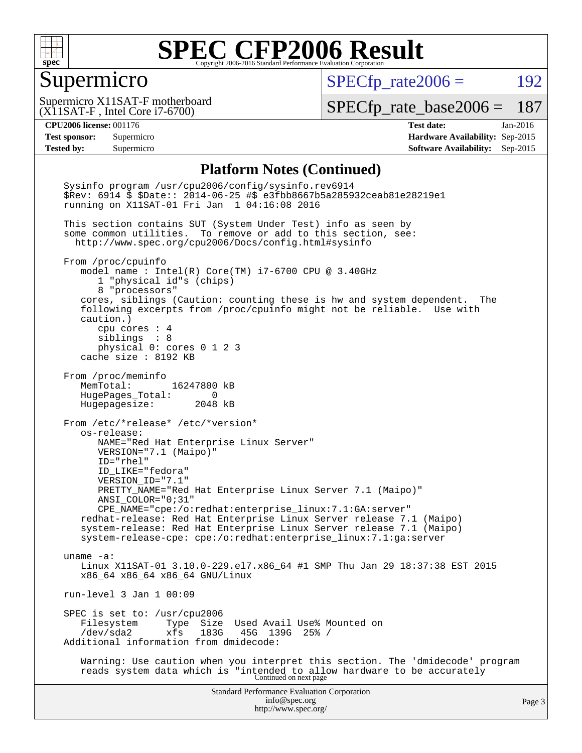

#### Supermicro

 $SPECTp_rate2006 = 192$ 

(X11SAT-F , Intel Core i7-6700) Supermicro X11SAT-F motherboard

[SPECfp\\_rate\\_base2006 =](http://www.spec.org/auto/cpu2006/Docs/result-fields.html#SPECfpratebase2006) 187

**[CPU2006 license:](http://www.spec.org/auto/cpu2006/Docs/result-fields.html#CPU2006license)** 001176 **[Test date:](http://www.spec.org/auto/cpu2006/Docs/result-fields.html#Testdate)** Jan-2016 **[Test sponsor:](http://www.spec.org/auto/cpu2006/Docs/result-fields.html#Testsponsor)** Supermicro **[Hardware Availability:](http://www.spec.org/auto/cpu2006/Docs/result-fields.html#HardwareAvailability)** Sep-2015 **[Tested by:](http://www.spec.org/auto/cpu2006/Docs/result-fields.html#Testedby)** Supermicro **Supermicro [Software Availability:](http://www.spec.org/auto/cpu2006/Docs/result-fields.html#SoftwareAvailability)** Sep-2015

#### **[Platform Notes \(Continued\)](http://www.spec.org/auto/cpu2006/Docs/result-fields.html#PlatformNotes)**

Standard Performance Evaluation Corporation [info@spec.org](mailto:info@spec.org) <http://www.spec.org/> Page 3 Sysinfo program /usr/cpu2006/config/sysinfo.rev6914 \$Rev: 6914 \$ \$Date:: 2014-06-25 #\$ e3fbb8667b5a285932ceab81e28219e1 running on X11SAT-01 Fri Jan 1 04:16:08 2016 This section contains SUT (System Under Test) info as seen by some common utilities. To remove or add to this section, see: <http://www.spec.org/cpu2006/Docs/config.html#sysinfo> From /proc/cpuinfo model name : Intel(R) Core(TM) i7-6700 CPU @ 3.40GHz 1 "physical id"s (chips) 8 "processors" cores, siblings (Caution: counting these is hw and system dependent. The following excerpts from /proc/cpuinfo might not be reliable. Use with caution.) cpu cores : 4 siblings : 8 physical 0: cores 0 1 2 3 cache size : 8192 KB From /proc/meminfo MemTotal: 16247800 kB HugePages\_Total: 0 Hugepagesize: 2048 kB From /etc/\*release\* /etc/\*version\* os-release: NAME="Red Hat Enterprise Linux Server" VERSION="7.1 (Maipo)" ID="rhel" ID\_LIKE="fedora" VERSION\_ID="7.1" PRETTY\_NAME="Red Hat Enterprise Linux Server 7.1 (Maipo)" ANSI\_COLOR="0;31" CPE\_NAME="cpe:/o:redhat:enterprise\_linux:7.1:GA:server" redhat-release: Red Hat Enterprise Linux Server release 7.1 (Maipo) system-release: Red Hat Enterprise Linux Server release 7.1 (Maipo) system-release-cpe: cpe:/o:redhat:enterprise\_linux:7.1:ga:server uname -a: Linux X11SAT-01 3.10.0-229.el7.x86\_64 #1 SMP Thu Jan 29 18:37:38 EST 2015 x86\_64 x86\_64 x86\_64 GNU/Linux run-level 3 Jan 1 00:09 SPEC is set to: /usr/cpu2006<br>Filesystem Type Size Filesystem Type Size Used Avail Use% Mounted on<br>/dev/sda2 xfs 183G 45G 139G 25% / xfs 183G 45G 139G 25% / Additional information from dmidecode: Warning: Use caution when you interpret this section. The 'dmidecode' program reads system data which is "intended to allow hardware to be accurately Continued on next page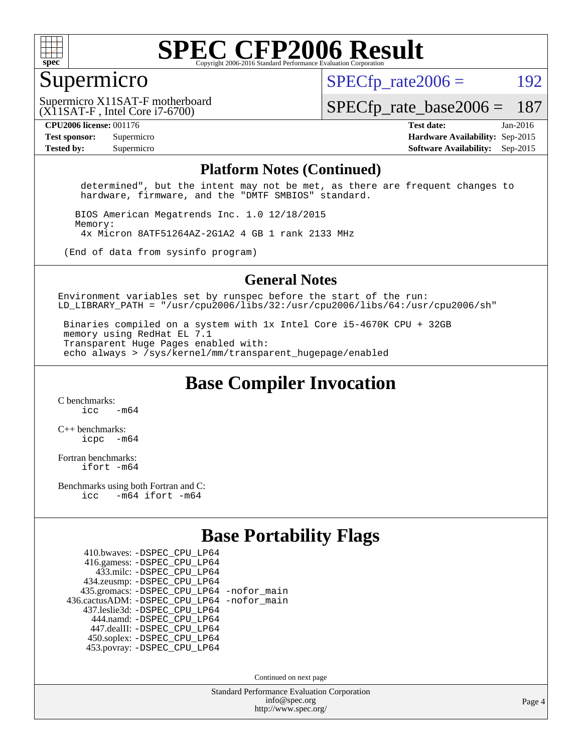

#### Supermicro

 $SPECTp\_rate2006 = 192$ 

(X11SAT-F , Intel Core i7-6700) Supermicro X11SAT-F motherboard

[SPECfp\\_rate\\_base2006 =](http://www.spec.org/auto/cpu2006/Docs/result-fields.html#SPECfpratebase2006) 187

**[CPU2006 license:](http://www.spec.org/auto/cpu2006/Docs/result-fields.html#CPU2006license)** 001176 **[Test date:](http://www.spec.org/auto/cpu2006/Docs/result-fields.html#Testdate)** Jan-2016 **[Test sponsor:](http://www.spec.org/auto/cpu2006/Docs/result-fields.html#Testsponsor)** Supermicro **[Hardware Availability:](http://www.spec.org/auto/cpu2006/Docs/result-fields.html#HardwareAvailability)** Sep-2015 **[Tested by:](http://www.spec.org/auto/cpu2006/Docs/result-fields.html#Testedby)** Supermicro **Supermicro [Software Availability:](http://www.spec.org/auto/cpu2006/Docs/result-fields.html#SoftwareAvailability)** Sep-2015

#### **[Platform Notes \(Continued\)](http://www.spec.org/auto/cpu2006/Docs/result-fields.html#PlatformNotes)**

 determined", but the intent may not be met, as there are frequent changes to hardware, firmware, and the "DMTF SMBIOS" standard.

 BIOS American Megatrends Inc. 1.0 12/18/2015 Memory: 4x Micron 8ATF51264AZ-2G1A2 4 GB 1 rank 2133 MHz

(End of data from sysinfo program)

#### **[General Notes](http://www.spec.org/auto/cpu2006/Docs/result-fields.html#GeneralNotes)**

Environment variables set by runspec before the start of the run: LD LIBRARY PATH = "/usr/cpu2006/libs/32:/usr/cpu2006/libs/64:/usr/cpu2006/sh"

 Binaries compiled on a system with 1x Intel Core i5-4670K CPU + 32GB memory using RedHat EL 7.1 Transparent Huge Pages enabled with: echo always > /sys/kernel/mm/transparent\_hugepage/enabled

**[Base Compiler Invocation](http://www.spec.org/auto/cpu2006/Docs/result-fields.html#BaseCompilerInvocation)**

[C benchmarks](http://www.spec.org/auto/cpu2006/Docs/result-fields.html#Cbenchmarks):  $\frac{1}{2}$   $\mathrm{c}$   $\mathrm{c}$   $\frac{1}{2}$   $\mathrm{m}$   $\mathrm{6}$   $\mathrm{4}$ 

[C++ benchmarks:](http://www.spec.org/auto/cpu2006/Docs/result-fields.html#CXXbenchmarks) [icpc -m64](http://www.spec.org/cpu2006/results/res2016q1/cpu2006-20160106-38553.flags.html#user_CXXbase_intel_icpc_64bit_bedb90c1146cab66620883ef4f41a67e)

[Fortran benchmarks](http://www.spec.org/auto/cpu2006/Docs/result-fields.html#Fortranbenchmarks): [ifort -m64](http://www.spec.org/cpu2006/results/res2016q1/cpu2006-20160106-38553.flags.html#user_FCbase_intel_ifort_64bit_ee9d0fb25645d0210d97eb0527dcc06e)

[Benchmarks using both Fortran and C](http://www.spec.org/auto/cpu2006/Docs/result-fields.html#BenchmarksusingbothFortranandC): [icc -m64](http://www.spec.org/cpu2006/results/res2016q1/cpu2006-20160106-38553.flags.html#user_CC_FCbase_intel_icc_64bit_0b7121f5ab7cfabee23d88897260401c) [ifort -m64](http://www.spec.org/cpu2006/results/res2016q1/cpu2006-20160106-38553.flags.html#user_CC_FCbase_intel_ifort_64bit_ee9d0fb25645d0210d97eb0527dcc06e)

#### **[Base Portability Flags](http://www.spec.org/auto/cpu2006/Docs/result-fields.html#BasePortabilityFlags)**

| 410.bwaves: - DSPEC CPU LP64                 |  |
|----------------------------------------------|--|
| 416.gamess: -DSPEC_CPU_LP64                  |  |
| 433.milc: -DSPEC CPU LP64                    |  |
| 434.zeusmp: -DSPEC_CPU_LP64                  |  |
| 435.gromacs: -DSPEC_CPU_LP64 -nofor_main     |  |
| 436.cactusADM: - DSPEC CPU LP64 - nofor main |  |
| 437.leslie3d: -DSPEC_CPU_LP64                |  |
| 444.namd: - DSPEC CPU LP64                   |  |
| 447.dealII: -DSPEC CPU LP64                  |  |
| 450.soplex: -DSPEC_CPU_LP64                  |  |
| 453.povray: -DSPEC CPU LP64                  |  |

Continued on next page

Standard Performance Evaluation Corporation [info@spec.org](mailto:info@spec.org) <http://www.spec.org/>

Page 4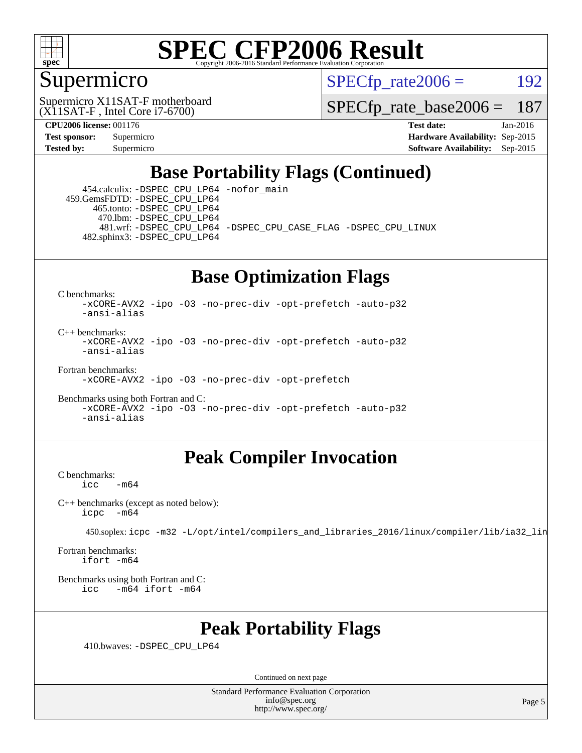

#### Supermicro

 $SPECTp\_rate2006 = 192$ 

(X11SAT-F , Intel Core i7-6700) Supermicro X11SAT-F motherboard

[SPECfp\\_rate\\_base2006 =](http://www.spec.org/auto/cpu2006/Docs/result-fields.html#SPECfpratebase2006) 187

**[CPU2006 license:](http://www.spec.org/auto/cpu2006/Docs/result-fields.html#CPU2006license)** 001176 **[Test date:](http://www.spec.org/auto/cpu2006/Docs/result-fields.html#Testdate)** Jan-2016 **[Test sponsor:](http://www.spec.org/auto/cpu2006/Docs/result-fields.html#Testsponsor)** Supermicro **[Hardware Availability:](http://www.spec.org/auto/cpu2006/Docs/result-fields.html#HardwareAvailability)** Sep-2015 **[Tested by:](http://www.spec.org/auto/cpu2006/Docs/result-fields.html#Testedby)** Supermicro **Supermicro [Software Availability:](http://www.spec.org/auto/cpu2006/Docs/result-fields.html#SoftwareAvailability)** Sep-2015

## **[Base Portability Flags \(Continued\)](http://www.spec.org/auto/cpu2006/Docs/result-fields.html#BasePortabilityFlags)**

 454.calculix: [-DSPEC\\_CPU\\_LP64](http://www.spec.org/cpu2006/results/res2016q1/cpu2006-20160106-38553.flags.html#suite_basePORTABILITY454_calculix_DSPEC_CPU_LP64) [-nofor\\_main](http://www.spec.org/cpu2006/results/res2016q1/cpu2006-20160106-38553.flags.html#user_baseLDPORTABILITY454_calculix_f-nofor_main) 459.GemsFDTD: [-DSPEC\\_CPU\\_LP64](http://www.spec.org/cpu2006/results/res2016q1/cpu2006-20160106-38553.flags.html#suite_basePORTABILITY459_GemsFDTD_DSPEC_CPU_LP64) 465.tonto: [-DSPEC\\_CPU\\_LP64](http://www.spec.org/cpu2006/results/res2016q1/cpu2006-20160106-38553.flags.html#suite_basePORTABILITY465_tonto_DSPEC_CPU_LP64) 470.lbm: [-DSPEC\\_CPU\\_LP64](http://www.spec.org/cpu2006/results/res2016q1/cpu2006-20160106-38553.flags.html#suite_basePORTABILITY470_lbm_DSPEC_CPU_LP64) 481.wrf: [-DSPEC\\_CPU\\_LP64](http://www.spec.org/cpu2006/results/res2016q1/cpu2006-20160106-38553.flags.html#suite_basePORTABILITY481_wrf_DSPEC_CPU_LP64) [-DSPEC\\_CPU\\_CASE\\_FLAG](http://www.spec.org/cpu2006/results/res2016q1/cpu2006-20160106-38553.flags.html#b481.wrf_baseCPORTABILITY_DSPEC_CPU_CASE_FLAG) [-DSPEC\\_CPU\\_LINUX](http://www.spec.org/cpu2006/results/res2016q1/cpu2006-20160106-38553.flags.html#b481.wrf_baseCPORTABILITY_DSPEC_CPU_LINUX) 482.sphinx3: [-DSPEC\\_CPU\\_LP64](http://www.spec.org/cpu2006/results/res2016q1/cpu2006-20160106-38553.flags.html#suite_basePORTABILITY482_sphinx3_DSPEC_CPU_LP64)

## **[Base Optimization Flags](http://www.spec.org/auto/cpu2006/Docs/result-fields.html#BaseOptimizationFlags)**

[C benchmarks](http://www.spec.org/auto/cpu2006/Docs/result-fields.html#Cbenchmarks):

[-xCORE-AVX2](http://www.spec.org/cpu2006/results/res2016q1/cpu2006-20160106-38553.flags.html#user_CCbase_f-xAVX2_5f5fc0cbe2c9f62c816d3e45806c70d7) [-ipo](http://www.spec.org/cpu2006/results/res2016q1/cpu2006-20160106-38553.flags.html#user_CCbase_f-ipo) [-O3](http://www.spec.org/cpu2006/results/res2016q1/cpu2006-20160106-38553.flags.html#user_CCbase_f-O3) [-no-prec-div](http://www.spec.org/cpu2006/results/res2016q1/cpu2006-20160106-38553.flags.html#user_CCbase_f-no-prec-div) [-opt-prefetch](http://www.spec.org/cpu2006/results/res2016q1/cpu2006-20160106-38553.flags.html#user_CCbase_f-opt-prefetch) [-auto-p32](http://www.spec.org/cpu2006/results/res2016q1/cpu2006-20160106-38553.flags.html#user_CCbase_f-auto-p32) [-ansi-alias](http://www.spec.org/cpu2006/results/res2016q1/cpu2006-20160106-38553.flags.html#user_CCbase_f-ansi-alias)

 $C_{++}$  benchmarks: [-xCORE-AVX2](http://www.spec.org/cpu2006/results/res2016q1/cpu2006-20160106-38553.flags.html#user_CXXbase_f-xAVX2_5f5fc0cbe2c9f62c816d3e45806c70d7) [-ipo](http://www.spec.org/cpu2006/results/res2016q1/cpu2006-20160106-38553.flags.html#user_CXXbase_f-ipo) [-O3](http://www.spec.org/cpu2006/results/res2016q1/cpu2006-20160106-38553.flags.html#user_CXXbase_f-O3) [-no-prec-div](http://www.spec.org/cpu2006/results/res2016q1/cpu2006-20160106-38553.flags.html#user_CXXbase_f-no-prec-div) [-opt-prefetch](http://www.spec.org/cpu2006/results/res2016q1/cpu2006-20160106-38553.flags.html#user_CXXbase_f-opt-prefetch) [-auto-p32](http://www.spec.org/cpu2006/results/res2016q1/cpu2006-20160106-38553.flags.html#user_CXXbase_f-auto-p32) [-ansi-alias](http://www.spec.org/cpu2006/results/res2016q1/cpu2006-20160106-38553.flags.html#user_CXXbase_f-ansi-alias)

[Fortran benchmarks](http://www.spec.org/auto/cpu2006/Docs/result-fields.html#Fortranbenchmarks):

[-xCORE-AVX2](http://www.spec.org/cpu2006/results/res2016q1/cpu2006-20160106-38553.flags.html#user_FCbase_f-xAVX2_5f5fc0cbe2c9f62c816d3e45806c70d7) [-ipo](http://www.spec.org/cpu2006/results/res2016q1/cpu2006-20160106-38553.flags.html#user_FCbase_f-ipo) [-O3](http://www.spec.org/cpu2006/results/res2016q1/cpu2006-20160106-38553.flags.html#user_FCbase_f-O3) [-no-prec-div](http://www.spec.org/cpu2006/results/res2016q1/cpu2006-20160106-38553.flags.html#user_FCbase_f-no-prec-div) [-opt-prefetch](http://www.spec.org/cpu2006/results/res2016q1/cpu2006-20160106-38553.flags.html#user_FCbase_f-opt-prefetch)

[Benchmarks using both Fortran and C](http://www.spec.org/auto/cpu2006/Docs/result-fields.html#BenchmarksusingbothFortranandC): [-xCORE-AVX2](http://www.spec.org/cpu2006/results/res2016q1/cpu2006-20160106-38553.flags.html#user_CC_FCbase_f-xAVX2_5f5fc0cbe2c9f62c816d3e45806c70d7) [-ipo](http://www.spec.org/cpu2006/results/res2016q1/cpu2006-20160106-38553.flags.html#user_CC_FCbase_f-ipo) [-O3](http://www.spec.org/cpu2006/results/res2016q1/cpu2006-20160106-38553.flags.html#user_CC_FCbase_f-O3) [-no-prec-div](http://www.spec.org/cpu2006/results/res2016q1/cpu2006-20160106-38553.flags.html#user_CC_FCbase_f-no-prec-div) [-opt-prefetch](http://www.spec.org/cpu2006/results/res2016q1/cpu2006-20160106-38553.flags.html#user_CC_FCbase_f-opt-prefetch) [-auto-p32](http://www.spec.org/cpu2006/results/res2016q1/cpu2006-20160106-38553.flags.html#user_CC_FCbase_f-auto-p32) [-ansi-alias](http://www.spec.org/cpu2006/results/res2016q1/cpu2006-20160106-38553.flags.html#user_CC_FCbase_f-ansi-alias)

#### **[Peak Compiler Invocation](http://www.spec.org/auto/cpu2006/Docs/result-fields.html#PeakCompilerInvocation)**

[C benchmarks](http://www.spec.org/auto/cpu2006/Docs/result-fields.html#Cbenchmarks):  $-m64$ 

[C++ benchmarks \(except as noted below\):](http://www.spec.org/auto/cpu2006/Docs/result-fields.html#CXXbenchmarksexceptasnotedbelow) [icpc -m64](http://www.spec.org/cpu2006/results/res2016q1/cpu2006-20160106-38553.flags.html#user_CXXpeak_intel_icpc_64bit_bedb90c1146cab66620883ef4f41a67e)

450.soplex: [icpc -m32 -L/opt/intel/compilers\\_and\\_libraries\\_2016/linux/compiler/lib/ia32\\_lin](http://www.spec.org/cpu2006/results/res2016q1/cpu2006-20160106-38553.flags.html#user_peakCXXLD450_soplex_intel_icpc_b4f50a394bdb4597aa5879c16bc3f5c5)

[Fortran benchmarks](http://www.spec.org/auto/cpu2006/Docs/result-fields.html#Fortranbenchmarks): [ifort -m64](http://www.spec.org/cpu2006/results/res2016q1/cpu2006-20160106-38553.flags.html#user_FCpeak_intel_ifort_64bit_ee9d0fb25645d0210d97eb0527dcc06e)

[Benchmarks using both Fortran and C](http://www.spec.org/auto/cpu2006/Docs/result-fields.html#BenchmarksusingbothFortranandC): [icc -m64](http://www.spec.org/cpu2006/results/res2016q1/cpu2006-20160106-38553.flags.html#user_CC_FCpeak_intel_icc_64bit_0b7121f5ab7cfabee23d88897260401c) [ifort -m64](http://www.spec.org/cpu2006/results/res2016q1/cpu2006-20160106-38553.flags.html#user_CC_FCpeak_intel_ifort_64bit_ee9d0fb25645d0210d97eb0527dcc06e)

#### **[Peak Portability Flags](http://www.spec.org/auto/cpu2006/Docs/result-fields.html#PeakPortabilityFlags)**

410.bwaves: [-DSPEC\\_CPU\\_LP64](http://www.spec.org/cpu2006/results/res2016q1/cpu2006-20160106-38553.flags.html#suite_peakPORTABILITY410_bwaves_DSPEC_CPU_LP64)

Continued on next page

Standard Performance Evaluation Corporation [info@spec.org](mailto:info@spec.org) <http://www.spec.org/>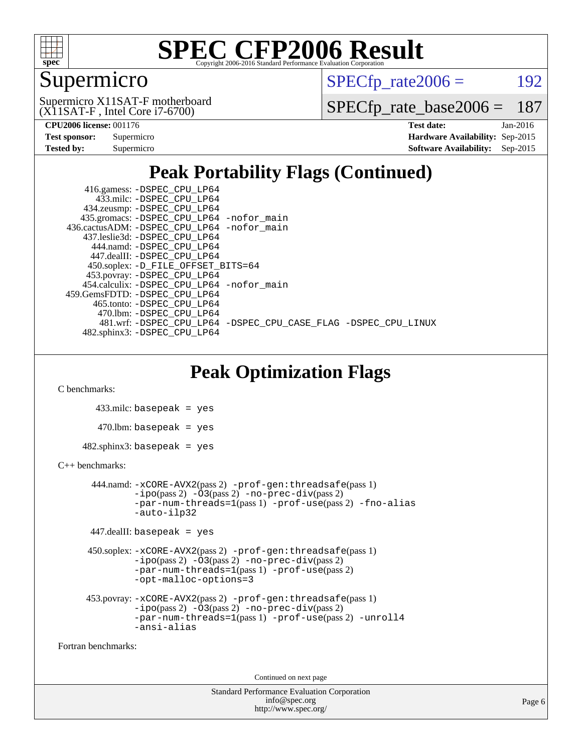

## Supermicro

 $SPECTp\_rate2006 = 192$ 

(X11SAT-F , Intel Core i7-6700) Supermicro X11SAT-F motherboard

[SPECfp\\_rate\\_base2006 =](http://www.spec.org/auto/cpu2006/Docs/result-fields.html#SPECfpratebase2006) 187

| <b>Test sponsor:</b> | Supermicro |  |  |  |
|----------------------|------------|--|--|--|
| Tested by:           | Supermicro |  |  |  |

**[CPU2006 license:](http://www.spec.org/auto/cpu2006/Docs/result-fields.html#CPU2006license)** 001176 **[Test date:](http://www.spec.org/auto/cpu2006/Docs/result-fields.html#Testdate)** Jan-2016 **[Hardware Availability:](http://www.spec.org/auto/cpu2006/Docs/result-fields.html#HardwareAvailability)** Sep-2015 **[Software Availability:](http://www.spec.org/auto/cpu2006/Docs/result-fields.html#SoftwareAvailability)** Sep-2015

## **[Peak Portability Flags \(Continued\)](http://www.spec.org/auto/cpu2006/Docs/result-fields.html#PeakPortabilityFlags)**

 416.gamess: [-DSPEC\\_CPU\\_LP64](http://www.spec.org/cpu2006/results/res2016q1/cpu2006-20160106-38553.flags.html#suite_peakPORTABILITY416_gamess_DSPEC_CPU_LP64) 433.milc: [-DSPEC\\_CPU\\_LP64](http://www.spec.org/cpu2006/results/res2016q1/cpu2006-20160106-38553.flags.html#suite_peakPORTABILITY433_milc_DSPEC_CPU_LP64) 434.zeusmp: [-DSPEC\\_CPU\\_LP64](http://www.spec.org/cpu2006/results/res2016q1/cpu2006-20160106-38553.flags.html#suite_peakPORTABILITY434_zeusmp_DSPEC_CPU_LP64) 435.gromacs: [-DSPEC\\_CPU\\_LP64](http://www.spec.org/cpu2006/results/res2016q1/cpu2006-20160106-38553.flags.html#suite_peakPORTABILITY435_gromacs_DSPEC_CPU_LP64) [-nofor\\_main](http://www.spec.org/cpu2006/results/res2016q1/cpu2006-20160106-38553.flags.html#user_peakLDPORTABILITY435_gromacs_f-nofor_main) 436.cactusADM: [-DSPEC\\_CPU\\_LP64](http://www.spec.org/cpu2006/results/res2016q1/cpu2006-20160106-38553.flags.html#suite_peakPORTABILITY436_cactusADM_DSPEC_CPU_LP64) [-nofor\\_main](http://www.spec.org/cpu2006/results/res2016q1/cpu2006-20160106-38553.flags.html#user_peakLDPORTABILITY436_cactusADM_f-nofor_main) 437.leslie3d: [-DSPEC\\_CPU\\_LP64](http://www.spec.org/cpu2006/results/res2016q1/cpu2006-20160106-38553.flags.html#suite_peakPORTABILITY437_leslie3d_DSPEC_CPU_LP64) 444.namd: [-DSPEC\\_CPU\\_LP64](http://www.spec.org/cpu2006/results/res2016q1/cpu2006-20160106-38553.flags.html#suite_peakPORTABILITY444_namd_DSPEC_CPU_LP64) 447.dealII: [-DSPEC\\_CPU\\_LP64](http://www.spec.org/cpu2006/results/res2016q1/cpu2006-20160106-38553.flags.html#suite_peakPORTABILITY447_dealII_DSPEC_CPU_LP64) 450.soplex: [-D\\_FILE\\_OFFSET\\_BITS=64](http://www.spec.org/cpu2006/results/res2016q1/cpu2006-20160106-38553.flags.html#user_peakPORTABILITY450_soplex_file_offset_bits_64_438cf9856305ebd76870a2c6dc2689ab) 453.povray: [-DSPEC\\_CPU\\_LP64](http://www.spec.org/cpu2006/results/res2016q1/cpu2006-20160106-38553.flags.html#suite_peakPORTABILITY453_povray_DSPEC_CPU_LP64) 454.calculix: [-DSPEC\\_CPU\\_LP64](http://www.spec.org/cpu2006/results/res2016q1/cpu2006-20160106-38553.flags.html#suite_peakPORTABILITY454_calculix_DSPEC_CPU_LP64) [-nofor\\_main](http://www.spec.org/cpu2006/results/res2016q1/cpu2006-20160106-38553.flags.html#user_peakLDPORTABILITY454_calculix_f-nofor_main) 459.GemsFDTD: [-DSPEC\\_CPU\\_LP64](http://www.spec.org/cpu2006/results/res2016q1/cpu2006-20160106-38553.flags.html#suite_peakPORTABILITY459_GemsFDTD_DSPEC_CPU_LP64) 465.tonto: [-DSPEC\\_CPU\\_LP64](http://www.spec.org/cpu2006/results/res2016q1/cpu2006-20160106-38553.flags.html#suite_peakPORTABILITY465_tonto_DSPEC_CPU_LP64) 470.lbm: [-DSPEC\\_CPU\\_LP64](http://www.spec.org/cpu2006/results/res2016q1/cpu2006-20160106-38553.flags.html#suite_peakPORTABILITY470_lbm_DSPEC_CPU_LP64) 481.wrf: [-DSPEC\\_CPU\\_LP64](http://www.spec.org/cpu2006/results/res2016q1/cpu2006-20160106-38553.flags.html#suite_peakPORTABILITY481_wrf_DSPEC_CPU_LP64) [-DSPEC\\_CPU\\_CASE\\_FLAG](http://www.spec.org/cpu2006/results/res2016q1/cpu2006-20160106-38553.flags.html#b481.wrf_peakCPORTABILITY_DSPEC_CPU_CASE_FLAG) [-DSPEC\\_CPU\\_LINUX](http://www.spec.org/cpu2006/results/res2016q1/cpu2006-20160106-38553.flags.html#b481.wrf_peakCPORTABILITY_DSPEC_CPU_LINUX) 482.sphinx3: [-DSPEC\\_CPU\\_LP64](http://www.spec.org/cpu2006/results/res2016q1/cpu2006-20160106-38553.flags.html#suite_peakPORTABILITY482_sphinx3_DSPEC_CPU_LP64)

## **[Peak Optimization Flags](http://www.spec.org/auto/cpu2006/Docs/result-fields.html#PeakOptimizationFlags)**

[C benchmarks](http://www.spec.org/auto/cpu2006/Docs/result-fields.html#Cbenchmarks):

 433.milc: basepeak = yes  $470$ .lbm: basepeak = yes  $482$ .sphinx $3$ : basepeak = yes

#### [C++ benchmarks:](http://www.spec.org/auto/cpu2006/Docs/result-fields.html#CXXbenchmarks)

```
 444.namd: -xCORE-AVX2(pass 2) -prof-gen:threadsafe(pass 1)
       -no-prec-div(pass 2)-par-num-threads=1(pass 1) -prof-use(pass 2) -fno-alias
       -auto-ilp32
```

```
 447.dealII: basepeak = yes
```

```
 450.soplex: -xCORE-AVX2(pass 2) -prof-gen:threadsafe(pass 1)
          -i\text{po}(pass 2) -\overline{O}3(pass 2)-no-prec-div(pass 2)
          -par-num-threads=1(pass 1) -prof-use(pass 2)
          -opt-malloc-options=3
```

```
 453.povray: -xCORE-AVX2(pass 2) -prof-gen:threadsafe(pass 1)
          -i\text{po}(pass 2) -\tilde{O}3(pass 2)-no-prec-div(pass 2)
          -par-num-threads=1(pass 1) -prof-use(pass 2) -unroll4
          -ansi-alias
```
[Fortran benchmarks](http://www.spec.org/auto/cpu2006/Docs/result-fields.html#Fortranbenchmarks):

Continued on next page

Standard Performance Evaluation Corporation [info@spec.org](mailto:info@spec.org) <http://www.spec.org/>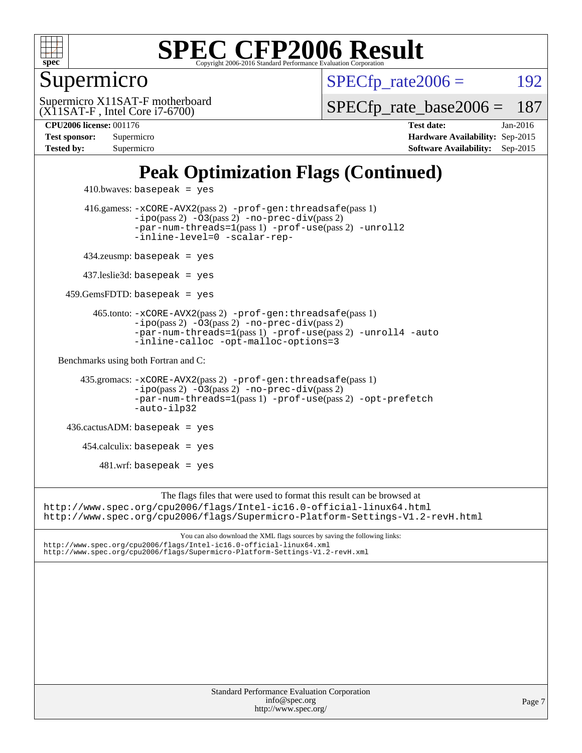

#### Supermicro

 $SPECTp\_rate2006 = 192$ 

(X11SAT-F , Intel Core i7-6700) Supermicro X11SAT-F motherboard

[SPECfp\\_rate\\_base2006 =](http://www.spec.org/auto/cpu2006/Docs/result-fields.html#SPECfpratebase2006) 187

**[CPU2006 license:](http://www.spec.org/auto/cpu2006/Docs/result-fields.html#CPU2006license)** 001176 **[Test date:](http://www.spec.org/auto/cpu2006/Docs/result-fields.html#Testdate)** Jan-2016 **[Test sponsor:](http://www.spec.org/auto/cpu2006/Docs/result-fields.html#Testsponsor)** Supermicro **[Hardware Availability:](http://www.spec.org/auto/cpu2006/Docs/result-fields.html#HardwareAvailability)** Sep-2015 **[Tested by:](http://www.spec.org/auto/cpu2006/Docs/result-fields.html#Testedby)** Supermicro **Supermicro [Software Availability:](http://www.spec.org/auto/cpu2006/Docs/result-fields.html#SoftwareAvailability)** Sep-2015

## **[Peak Optimization Flags \(Continued\)](http://www.spec.org/auto/cpu2006/Docs/result-fields.html#PeakOptimizationFlags)**

```
410.bwaves: basepeak = yes 416.gamess: -xCORE-AVX2(pass 2) -prof-gen:threadsafe(pass 1)
                 -no-prec-div(pass 2)-par-num-threads=1(pass 1) -prof-use(pass 2) -unroll2
                 -inline-level=0 -scalar-rep-
        434.zeusmp: basepeak = yes
        437.leslie3d: basepeak = yes
     459.GemsFDTD: basepeak = yes
          465.tonto: -xCORE-AVX2(pass 2) -prof-gen:threadsafe(pass 1)
                 -no-prec-div(pass 2)-par-num-threads=1(pass 1) -prof-use(pass 2) -unroll4 -auto
                 -inline-calloc -opt-malloc-options=3
  Benchmarks using both Fortran and C: 
        435.gromacs: -xCORE-AVX2(pass 2) -prof-gen:threadsafe(pass 1)
                 -no-prec-div(pass 2)-par-num-threads=1(pass 1) -prof-use(pass 2) -opt-prefetch
                 -auto-ilp32
     436.cactusADM: basepeak = yes
       454.calculix: basepeak = yes
           481.wrf: basepeak = yes
                       The flags files that were used to format this result can be browsed at
http://www.spec.org/cpu2006/flags/Intel-ic16.0-official-linux64.html
http://www.spec.org/cpu2006/flags/Supermicro-Platform-Settings-V1.2-revH.html
                          You can also download the XML flags sources by saving the following links:
```
<http://www.spec.org/cpu2006/flags/Intel-ic16.0-official-linux64.xml> <http://www.spec.org/cpu2006/flags/Supermicro-Platform-Settings-V1.2-revH.xml>